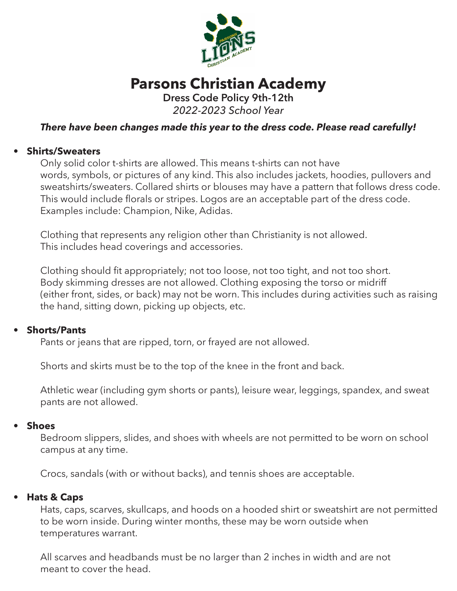

# **Parsons Christian Academy**

**Dress Code Policy 9th-12th** *2022-2023 School Year*

# *There have been changes made this year to the dress code. Please read carefully!*

## **• Shirts/Sweaters**

Only solid color t-shirts are allowed. This means t-shirts can not have words, symbols, or pictures of any kind. This also includes jackets, hoodies, pullovers and sweatshirts/sweaters. Collared shirts or blouses may have a pattern that follows dress code. This would include florals or stripes. Logos are an acceptable part of the dress code. Examples include: Champion, Nike, Adidas.

 Clothing that represents any religion other than Christianity is not allowed. This includes head coverings and accessories.

 Clothing should fit appropriately; not too loose, not too tight, and not too short. Body skimming dresses are not allowed. Clothing exposing the torso or midriff (either front, sides, or back) may not be worn. This includes during activities such as raising the hand, sitting down, picking up objects, etc.

## **• Shorts/Pants**

Pants or jeans that are ripped, torn, or frayed are not allowed.

Shorts and skirts must be to the top of the knee in the front and back.

 Athletic wear (including gym shorts or pants), leisure wear, leggings, spandex, and sweat pants are not allowed.

#### **• Shoes**

Bedroom slippers, slides, and shoes with wheels are not permitted to be worn on school campus at any time.

Crocs, sandals (with or without backs), and tennis shoes are acceptable.

#### **• Hats & Caps**

Hats, caps, scarves, skullcaps, and hoods on a hooded shirt or sweatshirt are not permitted to be worn inside. During winter months, these may be worn outside when temperatures warrant.

 All scarves and headbands must be no larger than 2 inches in width and are not meant to cover the head.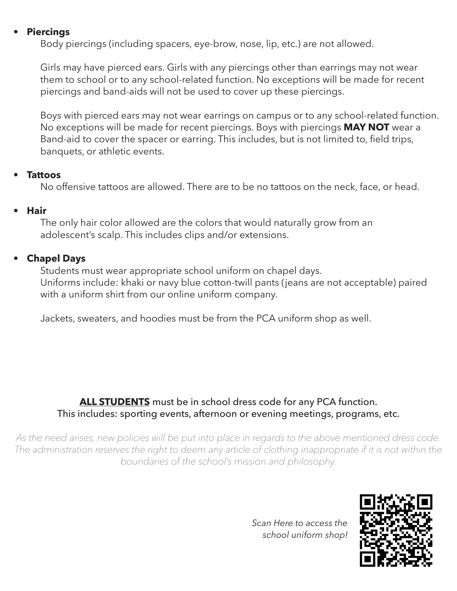#### **• Piercings**

Body piercings (including spacers, eye-brow, nose, lip, etc.) are not allowed.

 Girls may have pierced ears. Girls with any piercings other than earrings may not wear them to school or to any school-related function. No exceptions will be made for recent piercings and band-aids will not be used to cover up these piercings.

 Boys with pierced ears may not wear earrings on campus or to any school-related function. No exceptions will be made for recent piercings. Boys with piercings **MAY NOT** wear a Band-aid to cover the spacer or earring. This includes, but is not limited to, field trips, banquets, or athletic events.

#### **• Tattoos**

No offensive tattoos are allowed. There are to be no tattoos on the neck, face, or head.

## **• Hair**

The only hair color allowed are the colors that would naturally grow from an adolescent's scalp. This includes clips and/or extensions.

# **• Chapel Days**

Students must wear appropriate school uniform on chapel days. Uniforms include: khaki or navy blue cotton-twill pants (jeans are not acceptable) paired with a uniform shirt from our online uniform company.

Jackets, sweaters, and hoodies must be from the PCA uniform shop as well.

# **ALL STUDENTS** must be in school dress code for any PCA function. This includes: sporting events, afternoon or evening meetings, programs, etc.

*As the need arises, new policies will be put into place in regards to the above mentioned dress code.*  The administration reserves the right to deem any article of clothing inappropriate if it is not within the *boundaries of the school's mission and philosophy.*

> *Scan Here to access the school uniform shop!*